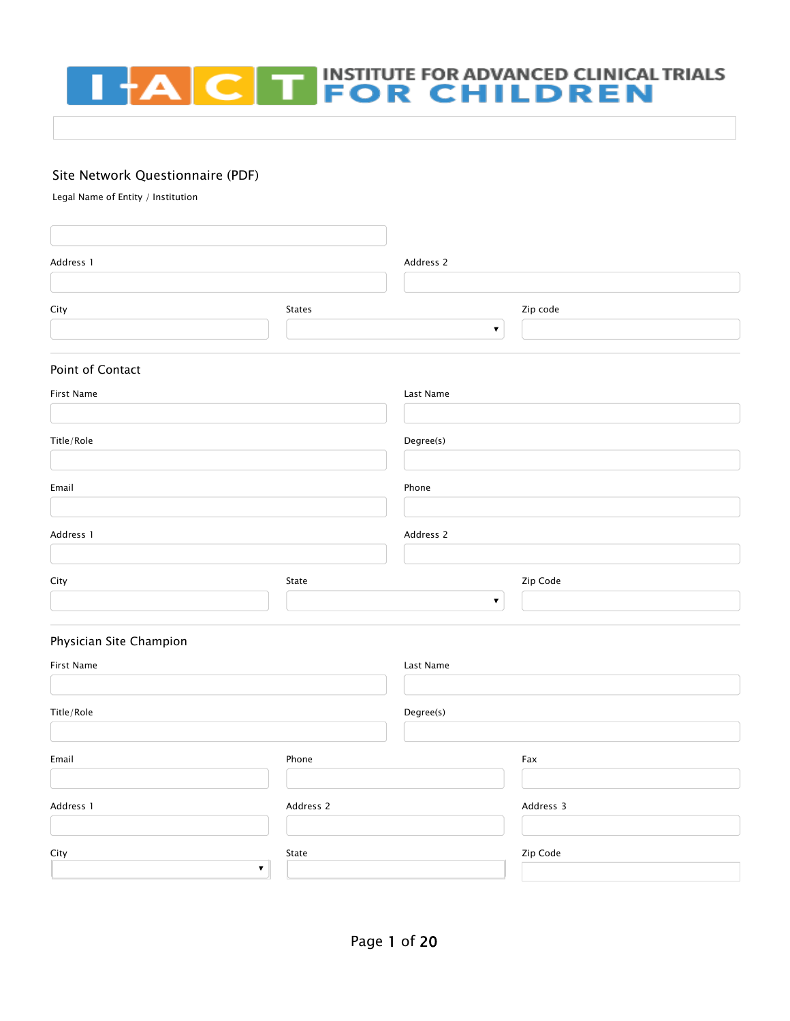# **THE INSTITUTE FOR ADVANCED CLINICAL TRIALS<br>
FOR CHILDREN**  $+A$  $\overline{\mathbf{C}}$

#### Site Network Questionnaire (PDF)

Legal Name of Entity / Institution

| Address 1                             |           | Address 2          |           |  |  |
|---------------------------------------|-----------|--------------------|-----------|--|--|
| City                                  | States    |                    | Zip code  |  |  |
|                                       |           | $\bar{\mathbf{v}}$ |           |  |  |
| Point of Contact                      |           |                    |           |  |  |
| First Name                            |           | Last Name          |           |  |  |
| Title/Role                            |           | Degree(s)          |           |  |  |
|                                       |           |                    |           |  |  |
| Email                                 |           | Phone              |           |  |  |
| Address 1                             |           | Address 2          |           |  |  |
|                                       |           |                    |           |  |  |
| City                                  | State     | $\pmb{\nabla}$     | Zip Code  |  |  |
|                                       |           |                    |           |  |  |
| Physician Site Champion               |           |                    |           |  |  |
| First Name                            |           | Last Name          |           |  |  |
| Title/Role                            |           | Degree(s)          |           |  |  |
|                                       |           |                    |           |  |  |
| Email                                 | Phone     |                    | Fax       |  |  |
| Address 1                             | Address 2 |                    | Address 3 |  |  |
|                                       |           |                    |           |  |  |
| City<br>State<br>$\blacktriangledown$ |           | Zip Code           |           |  |  |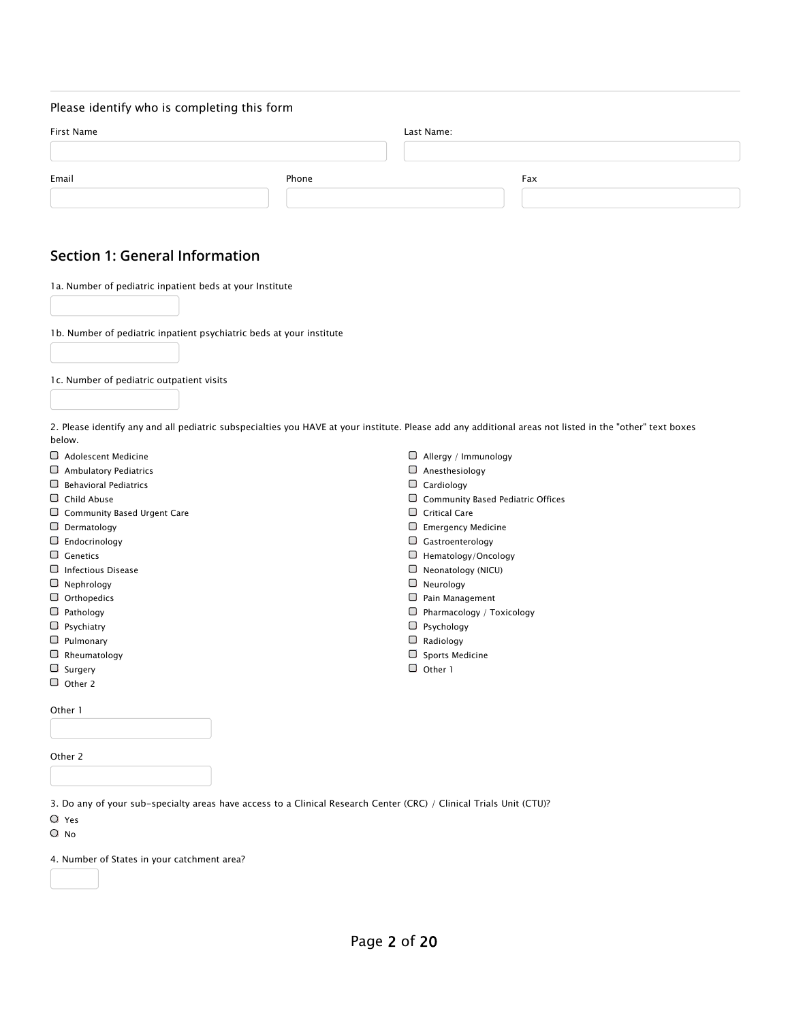#### Please identify who is completing this form

| First Name |       | Last Name: |     |  |  |
|------------|-------|------------|-----|--|--|
| Email      | Phone |            | Fax |  |  |
|            |       |            |     |  |  |

#### **Section 1: General Information**

1a. Number of pediatric inpatient beds at your Institute

1b. Number of pediatric inpatient psychiatric beds at your institute

1c. Number of pediatric outpatient visits

2. Please identify any and all pediatric subspecialties you HAVE at your institute. Please add any additional areas not listed in the "other" text boxes below.

|   | $\Box$ Adolescent Medicine         |        | Allergy / Immunology              |
|---|------------------------------------|--------|-----------------------------------|
|   | $\Box$ Ambulatory Pediatrics       |        | Anesthesiology                    |
| ❏ | <b>Behavioral Pediatrics</b>       | ◡      | Cardiology                        |
|   | $\Box$ Child Abuse                 |        | Community Based Pediatric Offices |
|   | $\Box$ Community Based Urgent Care | U      | <b>Critical Care</b>              |
|   | $\Box$ Dermatology                 |        | <b>Emergency Medicine</b>         |
|   | $\Box$ Endocrinology               |        | Gastroenterology                  |
|   | $\Box$ Genetics                    |        | Hematology/Oncology               |
| ◡ | Infectious Disease                 |        | Neonatology (NICU)                |
|   | $\Box$ Nephrology                  |        | Neurology                         |
|   | $\Box$ Orthopedics                 |        | Pain Management                   |
|   | $\Box$ Pathology                   |        | Pharmacology / Toxicology         |
|   | $\Box$ Psychiatry                  |        | Psychology                        |
|   | $\Box$ Pulmonary                   |        | Radiology                         |
|   | $\Box$ Rheumatology                |        | Sports Medicine                   |
|   | $\Box$ Surgery                     | $\Box$ | Other 1                           |
|   | $\Box$ Other 2                     |        |                                   |
|   | Other 1                            |        |                                   |
|   |                                    |        |                                   |
|   | Other 2                            |        |                                   |

3. Do any of your sub-specialty areas have access to a Clinical Research Center (CRC) / Clinical Trials Unit (CTU)?

Yes

 $O$  No

4. Number of States in your catchment area?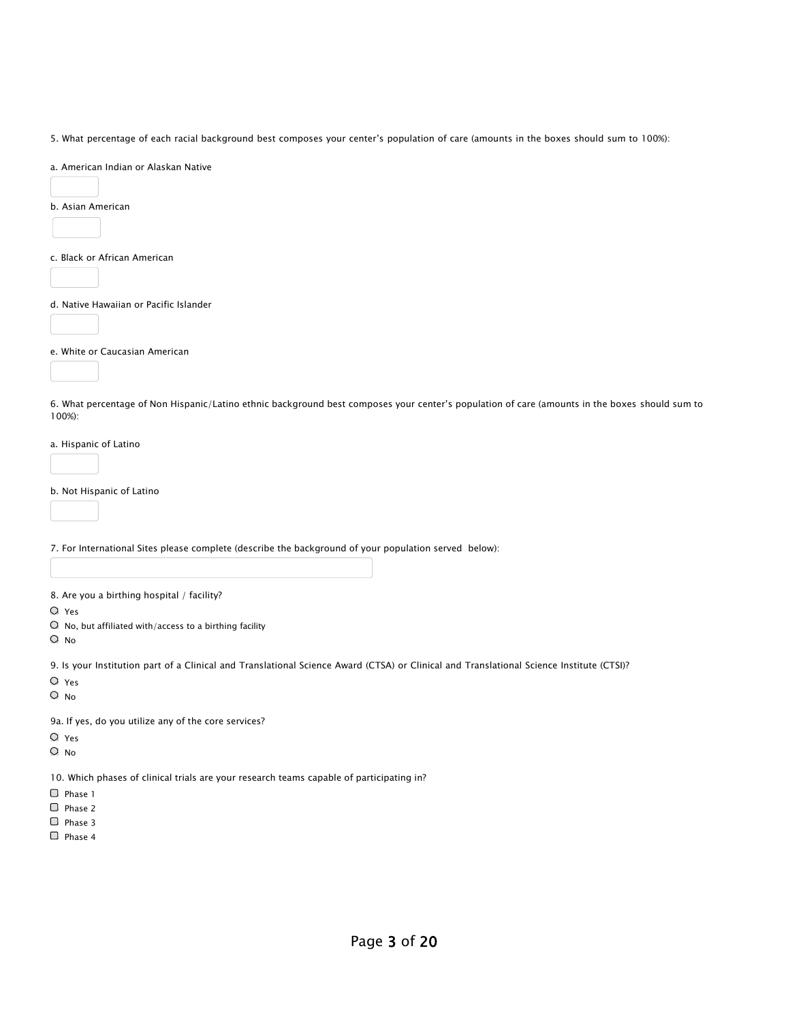5. What percentage of each racial background best composes your center's population of care (amounts in the boxes should sum to 100%):

a. American Indian or Alaskan Native

b. Asian American

c. Black or African American

d. Native Hawaiian or Pacific Islander

e. White or Caucasian American

6. What percentage of Non Hispanic/Latino ethnic background best composes your center's population of care (amounts in the boxes should sum to 100%):

a. Hispanic of Latino

b. Not Hispanic of Latino

7. For International Sites please complete (describe the background of your population served below):

8. Are you a birthing hospital / facility?

- Yes
- $\bigcirc$  No, but affiliated with/access to a birthing facility

O No

9. Is your Institution part of a Clinical and Translational Science Award (CTSA) or Clinical and Translational Science Institute (CTSI)?

Yes

 $O$  No

9a. If yes, do you utilize any of the core services?

Yes

O No

10. Which phases of clinical trials are your research teams capable of participating in?

 $\Box$  Phase 1

 $\Box$  Phase 2

 $\Box$  Phase 3

 $\Box$  Phase 4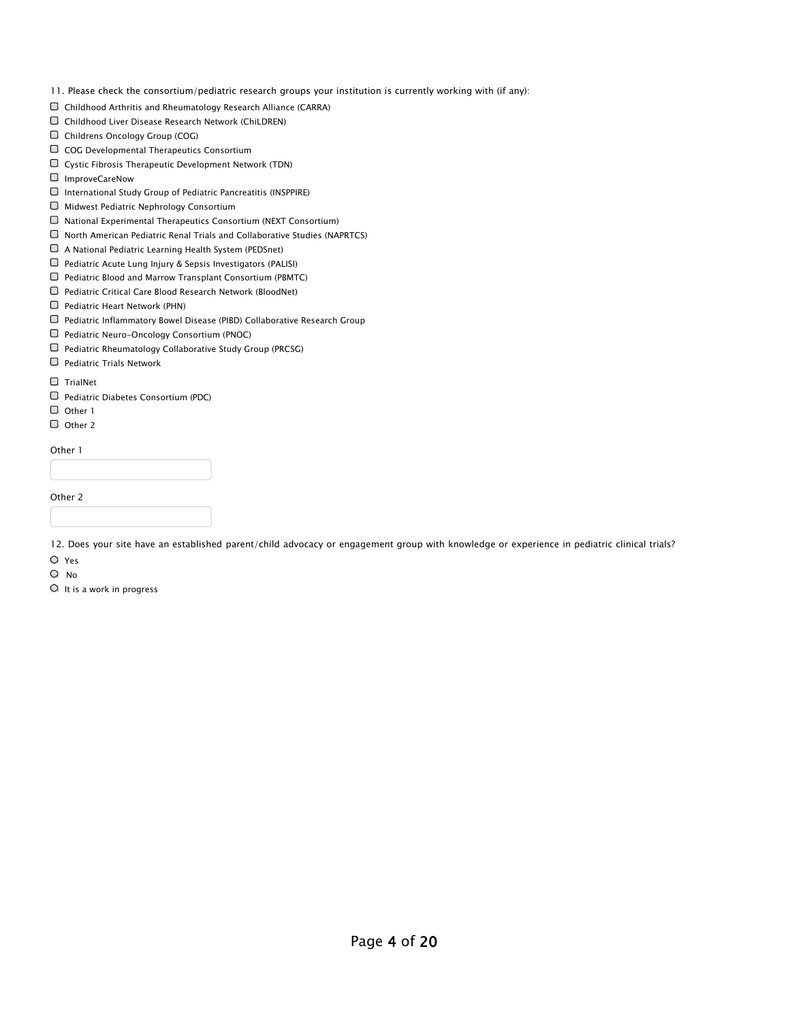- 11. Please check the consortium/pediatric research groups your institution is currently working with (if any):
- $\Box$  Childhood Arthritis and Rheumatology Research Alliance (CARRA)
- Childhood Liver Disease Research Network (ChiLDREN)
- Childrens Oncology Group (COG)
- $\Box$  COG Developmental Therapeutics Consortium
- Cystic Fibrosis Therapeutic Development Network (TDN)
- ImproveCareNow
- $\Box$  International Study Group of Pediatric Pancreatitis (INSPPIRE)
- $\Box$  Midwest Pediatric Nephrology Consortium
- $\Box$  National Experimental Therapeutics Consortium (NEXT Consortium)
- $\Box$  North American Pediatric Renal Trials and Collaborative Studies (NAPRTCS)
- A National Pediatric Learning Health System (PEDSnet)
- $\Box$  Pediatric Acute Lung Injury & Sepsis Investigators (PALISI)
- $\Box$  Pediatric Blood and Marrow Transplant Consortium (PBMTC)
- $\Box$  Pediatric Critical Care Blood Research Network (BloodNet)
- $\Box$  Pediatric Heart Network (PHN)
- Pediatric Inflammatory Bowel Disease (PIBD) Collaborative Research Group
- Pediatric Neuro-Oncology Consortium (PNOC)
- $\Box$  Pediatric Rheumatology Collaborative Study Group (PRCSG)
- $\Box$  Pediatric Trials Network

TrialNet

- [Pediatric Diabetes Consortium \(PDC\)](https://www.iactc.org/)
- O [Other 1](https://www.iactc.org/)
- O Other 2

Other 1

| $\cdots$ |  |  |  |
|----------|--|--|--|
|          |  |  |  |
|          |  |  |  |
|          |  |  |  |

Other 2

12. Does your site have an established parent/child advocacy or engagement group with knowledge or experience in pediatric clinical trials?

Yes

- O No
- $\circ$  It is a work in progress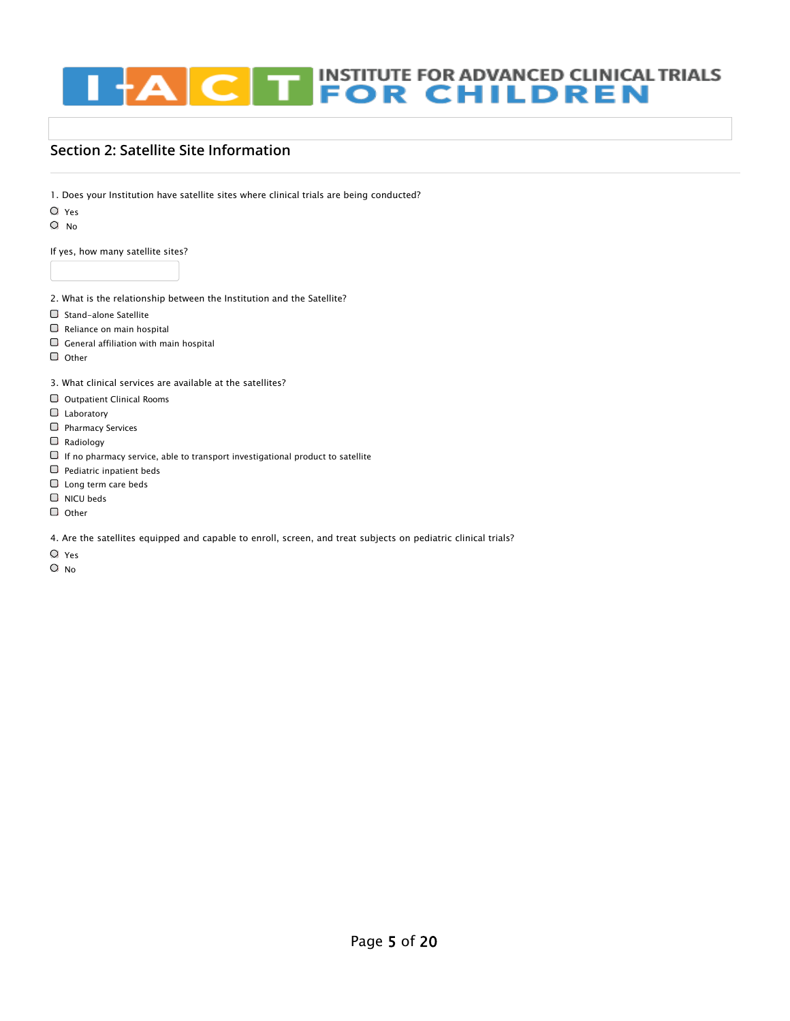#### **THE INSTITUTE FOR ADVANCED CLINICAL TRIALS<br>
FOR CHILDREN**  $\overline{\mathbf{C}}$ łΑ

### **Section 2: Satellite Site Information**

1. Does your Institution have satellite sites where clinical trials are being conducted?

- Yes
- O No

If yes, how many satellite sites?

- 2. What is the relationship between the Institution and the Satellite?
- $\Box$  Stand-alone Satellite
- $\Box$  Reliance on main hospital
- $\Box$  General affiliation with main hospital
- $\Box$  Other

3. What clinical services are available at the satellites?

- Outpatient Clinical Rooms
- **Laboratory**
- $\Box$  Pharmacy Services
- Radiology
- $\Box$  If no pharmacy service, able to transport investigational product to satellite
- $\Box$  Pediatric inpatient beds
- Long term care beds
- $\Box$  NICU beds
- $\Box$  Other

4. Are the satellites equipped and capable to enroll, screen, and treat subjects on pediatric clinical trials?

- Yes
- O No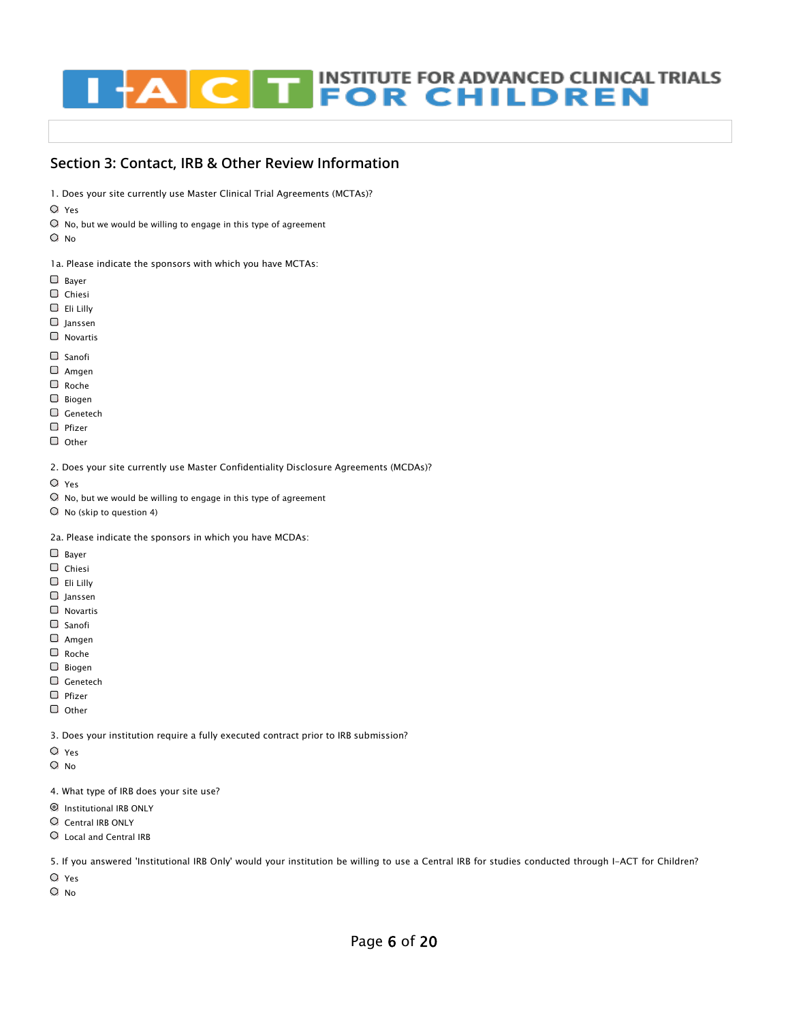# **INSTITUTE FOR ADVANCED CLINICAL TRIALS<br>FOR CHILDREN** г

#### **Section 3: Contact, IRB & Other Review Information**

- 1. Does your site currently use Master Clinical Trial Agreements (MCTAs)?
- Yes
- $\bigcirc$  No, but we would be willing to engage in this type of agreement
- $O$  No

1a. Please indicate the sponsors with which you have MCTAs:

- □ Bayer
- Chiesi
- Eli Lilly
- $\Box$  Janssen
- Novartis
- $\Box$  Sanofi
- [Amgen](https://www.iactc.org/)
- [Roche](https://www.iactc.org/)
- Biogen
- Genetech
- $\Box$  Pfizer
- $\Box$  Other
- 2. Does your site currently use Master Confidentiality Disclosure Agreements (MCDAs)?
- Yes
- $\heartsuit$  No, but we would be willing to engage in this type of agreement
- No (skip to question 4)
- 2a. Please indicate the sponsors in which you have MCDAs:
- Bayer
- Chiesi
- Eli Lilly
- $\Box$  Janssen
- Novartis
- Sanofi
- Amgen
- Roche
- Biogen
- Genetech
- $\Box$  Pfizer
- $\Box$  Other

3. Does your institution require a fully executed contract prior to IRB submission?

- Yes
- O No
- 4. What type of IRB does your site use?
- Institutional IRB ONLY
- Central IRB ONLY
- Local and Central IRB

5. If you answered 'Institutional IRB Only' would your institution be willing to use a Central IRB for studies conducted through I-ACT for Children?

- Yes
- $O$  No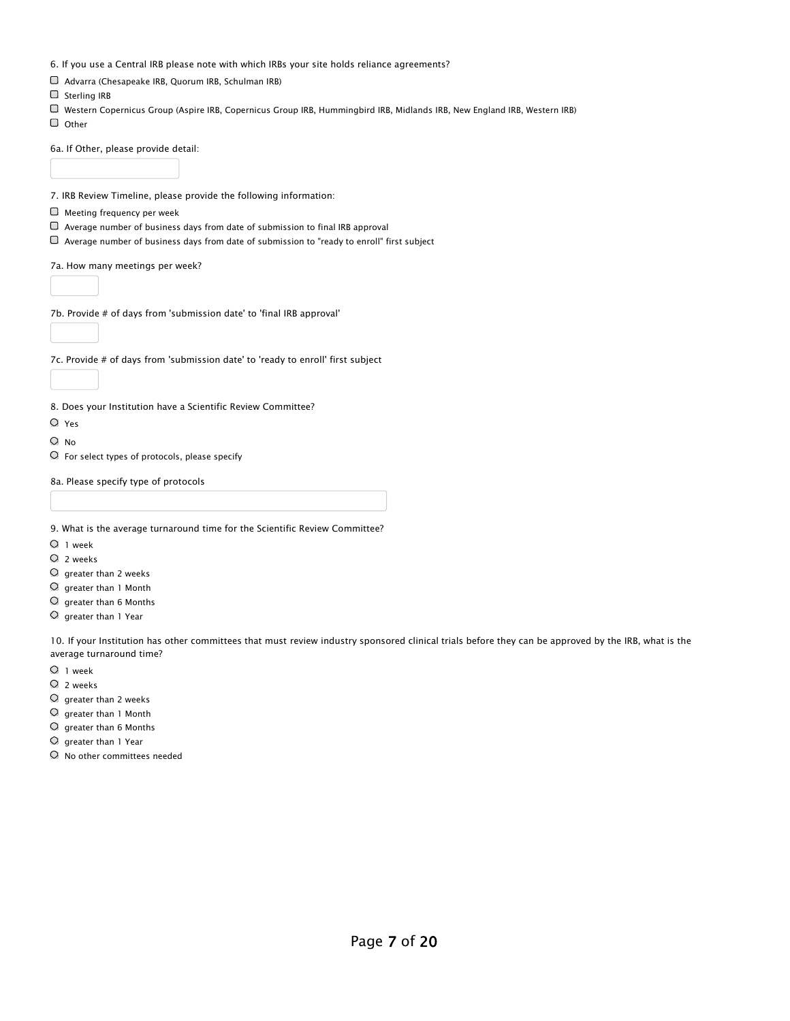6. If you use a Central IRB please note with which IRBs your site holds reliance agreements?

- Advarra (Chesapeake IRB, Quorum IRB, Schulman IRB)
- $\Box$  Sterling IRB
- Western Copernicus Group (Aspire IRB, Copernicus Group IRB, Hummingbird IRB, Midlands IRB, New England IRB, Western IRB)
- $\Box$  Other

6a. If Other, please provide detail:

7. IRB Review Timeline, please provide the following information:

- $\Box$  Meeting frequency per week
- $\Box$  Average number of business days from date of submission to final IRB approval
- $\Box$  Average number of business days from date of submission to "ready to enroll" first subject

7a. How many meetings per week?

7b. Provide # of days from 'submission date' to 'final IRB approval'

7c. Provide # of days from 'submission date' to 'ready to enroll' first subject

8. Does your Institution have a Scientific Review Committee?

- Yes
- O No
- $\circ$  [For select types of protocols, please specify](https://www.iactc.org/)

8a. Please specify type of protocols

- 9. What is the average turnaround time for the Scientific Review Committee?
- $O_1$  week
- $Q$  2 weeks
- $O$  greater than 2 weeks
- greater than 1 Month
- $O$  greater than 6 Months
- $\circlearrowright$  greater than 1 Year

10. If your Institution has other committees that must review industry sponsored clinical trials before they can be approved by the IRB, what is the average turnaround time?

- 1 week
- $Q$  2 weeks
- $\bigcirc$  greater than 2 weeks
- $O$  greater than 1 Month
- $O$  greater than 6 Months
- $\circ$ greater than 1 Year
- No other committees needed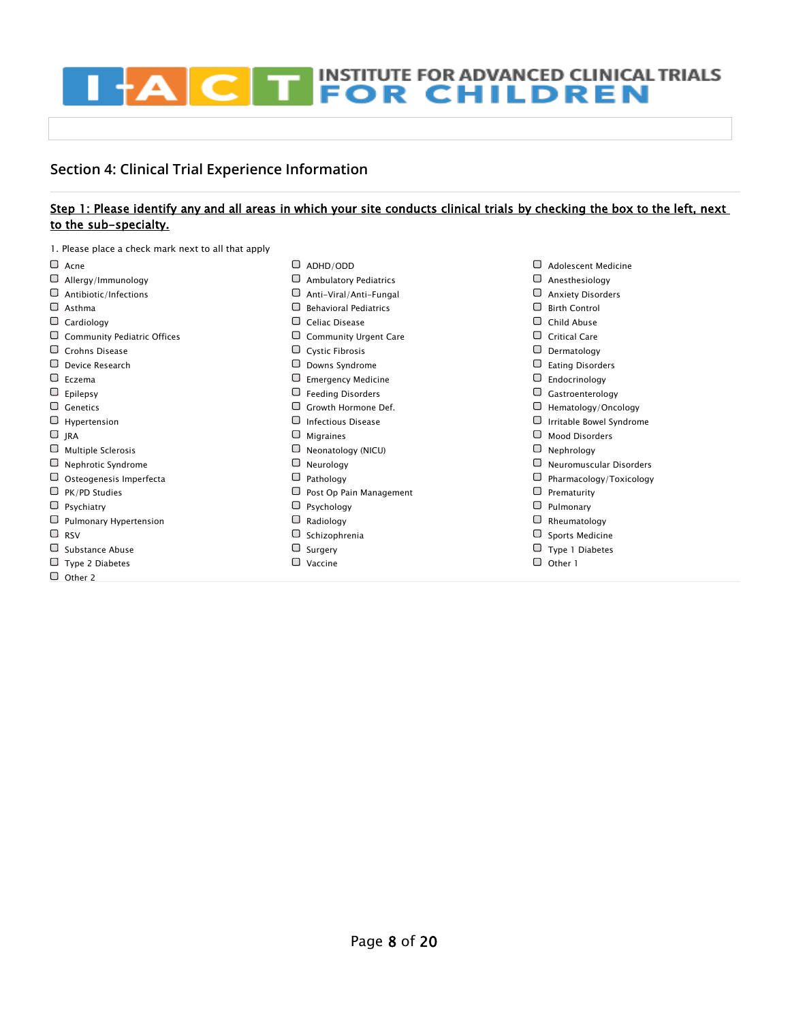# **EXCEPT INSTITUTE FOR ADVANCED CLINICAL TRIALS** П

## **Section 4: Clinical Trial Experience Information**

#### Step 1: Please identify any and all areas in which your site conducts clinical trials by checking the box to the left, next to the sub-specialty.

1. Please place a check mark next to all that apply

| $\Box$ Acne                        | ⊓      | ADHD/ODD                     |   | <b>Adolescent Medicine</b> |
|------------------------------------|--------|------------------------------|---|----------------------------|
| $\Box$ Allergy/Immunology          |        | <b>Ambulatory Pediatrics</b> |   | Anesthesiology             |
| $\Box$ Antibiotic/Infections       |        | Anti-Viral/Anti-Fungal       |   | <b>Anxiety Disorders</b>   |
| $\Box$ Asthma                      |        | <b>Behavioral Pediatrics</b> |   | <b>Birth Control</b>       |
| $\Box$ Cardiology                  |        | Celiac Disease               |   | Child Abuse                |
| $\Box$ Community Pediatric Offices |        | <b>Community Urgent Care</b> |   | <b>Critical Care</b>       |
| Crohns Disease                     |        | <b>Cystic Fibrosis</b>       |   | Dermatology                |
| $\Box$ Device Research             |        | Downs Syndrome               |   | <b>Eating Disorders</b>    |
| $\Box$ Eczema                      |        | <b>Emergency Medicine</b>    |   | Endocrinology              |
| $\Box$ Epilepsy                    |        | <b>Feeding Disorders</b>     |   | Gastroenterology           |
| $\Box$ Genetics                    |        | Growth Hormone Def.          |   | Hematology/Oncology        |
| $\Box$ Hypertension                |        | <b>Infectious Disease</b>    |   | Irritable Bowel Syndrome   |
| $\Box$ JRA                         |        | <b>Migraines</b>             |   | <b>Mood Disorders</b>      |
| $\Box$ Multiple Sclerosis          |        | Neonatology (NICU)           |   | Nephrology                 |
| $\Box$ Nephrotic Syndrome          |        | Neurology                    |   | Neuromuscular Disorders    |
| $\Box$ Osteogenesis Imperfecta     |        | Pathology                    |   | Pharmacology/Toxicology    |
| $\Box$ PK/PD Studies               |        | Post Op Pain Management      |   | Prematurity                |
| $\Box$ Psychiatry                  |        | $\Box$ Psychology            |   | Pulmonary                  |
| $\Box$ Pulmonary Hypertension      |        | Radiology                    |   | Rheumatology               |
| $\Box$ RSV                         |        | Schizophrenia                |   | Sports Medicine            |
| $\Box$ Substance Abuse             |        | Surgery                      |   | Type 1 Diabetes            |
| $\Box$ Type 2 Diabetes             | $\Box$ | Vaccine                      | ▢ | Other 1                    |
| $\Box$ Other 2                     |        |                              |   |                            |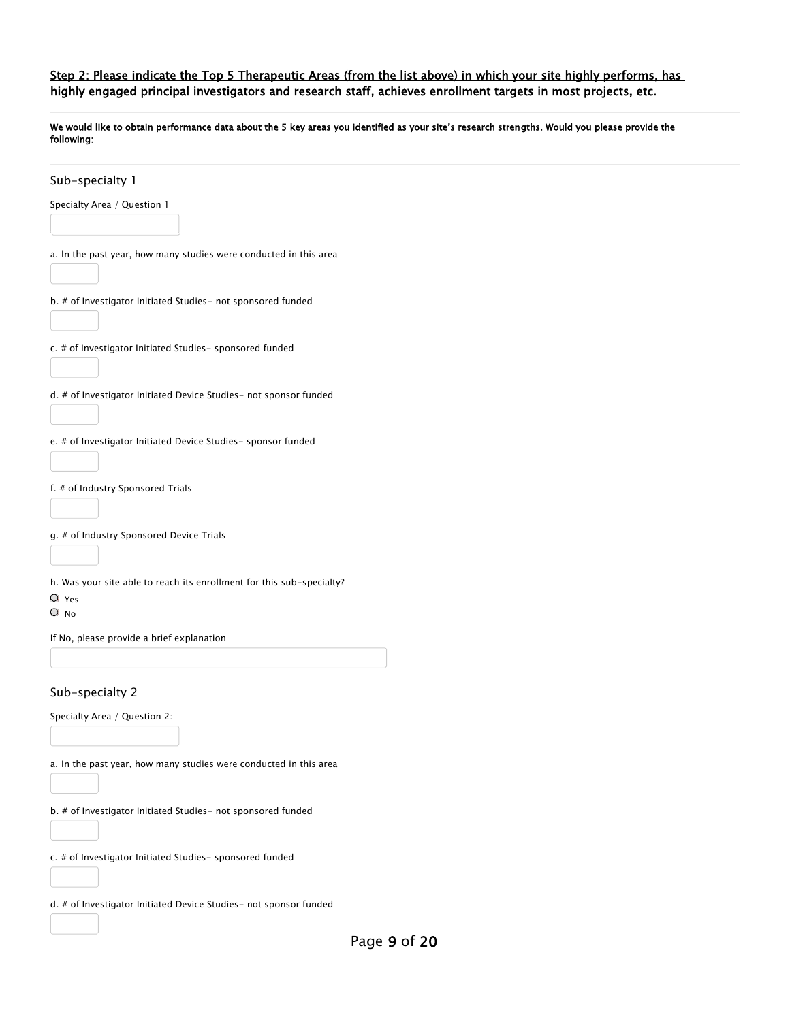#### Step 2: Please indicate the Top 5 Therapeutic Areas (from the list above) in which your site highly performs, has highly engaged principal investigators and research staff, achieves enrollment targets in most projects, etc.

We would like to obtain performance data about the 5 key areas you identified as your site's research strengths. Would you please provide the following:

| Sub-specialty 1                                                       |
|-----------------------------------------------------------------------|
| Specialty Area / Question 1                                           |
|                                                                       |
|                                                                       |
| a. In the past year, how many studies were conducted in this area     |
|                                                                       |
| b. # of Investigator Initiated Studies- not sponsored funded          |
|                                                                       |
| c. # of Investigator Initiated Studies- sponsored funded              |
|                                                                       |
| d. # of Investigator Initiated Device Studies- not sponsor funded     |
|                                                                       |
| e. # of Investigator Initiated Device Studies- sponsor funded         |
|                                                                       |
|                                                                       |
| f. # of Industry Sponsored Trials                                     |
|                                                                       |
| g. # of Industry Sponsored Device Trials                              |
|                                                                       |
| h. Was your site able to reach its enrollment for this sub-specialty? |
| O Yes<br>O No                                                         |
|                                                                       |
| If No, please provide a brief explanation                             |
|                                                                       |
| Sub-specialty 2                                                       |
| Specialty Area / Question 2:                                          |
|                                                                       |
| a. In the past year, how many studies were conducted in this area     |
|                                                                       |
|                                                                       |
| b. # of Investigator Initiated Studies- not sponsored funded          |
|                                                                       |
| c. # of Investigator Initiated Studies- sponsored funded              |
|                                                                       |
| d. # of Investigator Initiated Device Studies- not sponsor funded     |
|                                                                       |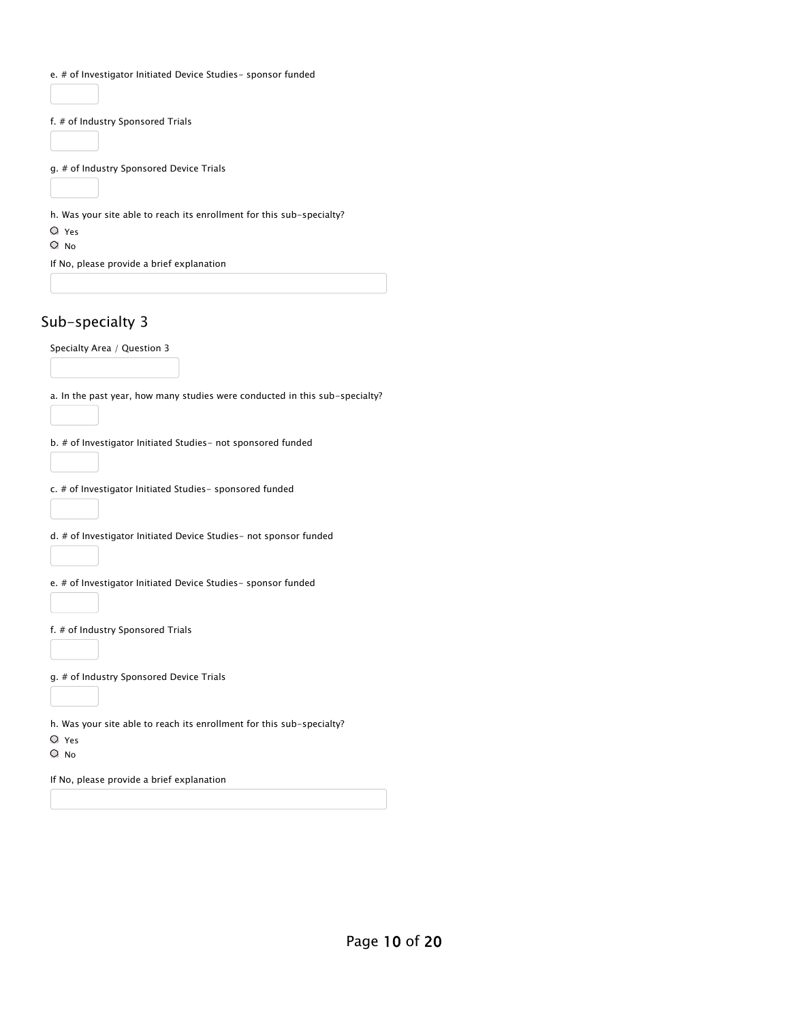|                           | f. # of Industry Sponsored Trials              |                                                                                                                                             |
|---------------------------|------------------------------------------------|---------------------------------------------------------------------------------------------------------------------------------------------|
|                           | g. # of Industry Sponsored Device Trials       |                                                                                                                                             |
|                           |                                                | h. Was your site able to reach its enrollment for this sub-specialty?                                                                       |
| $\circ$ Yes<br>$\circ$ No |                                                |                                                                                                                                             |
|                           | If No, please provide a brief explanation      |                                                                                                                                             |
|                           | Sub-specialty 3<br>Specialty Area / Question 3 |                                                                                                                                             |
|                           |                                                | a. In the past year, how many studies were conducted in this sub-specialty?<br>b. # of Investigator Initiated Studies- not sponsored funded |
|                           |                                                | c. # of Investigator Initiated Studies- sponsored funded                                                                                    |
|                           |                                                | d. # of Investigator Initiated Device Studies- not sponsor funded                                                                           |
|                           |                                                | e. # of Investigator Initiated Device Studies- sponsor funded                                                                               |

g. # of Industry Sponsored Device Trials

h. Was your site able to reach its enrollment for this sub-specialty?

- Yes
- O No

If No, please provide a brief explanation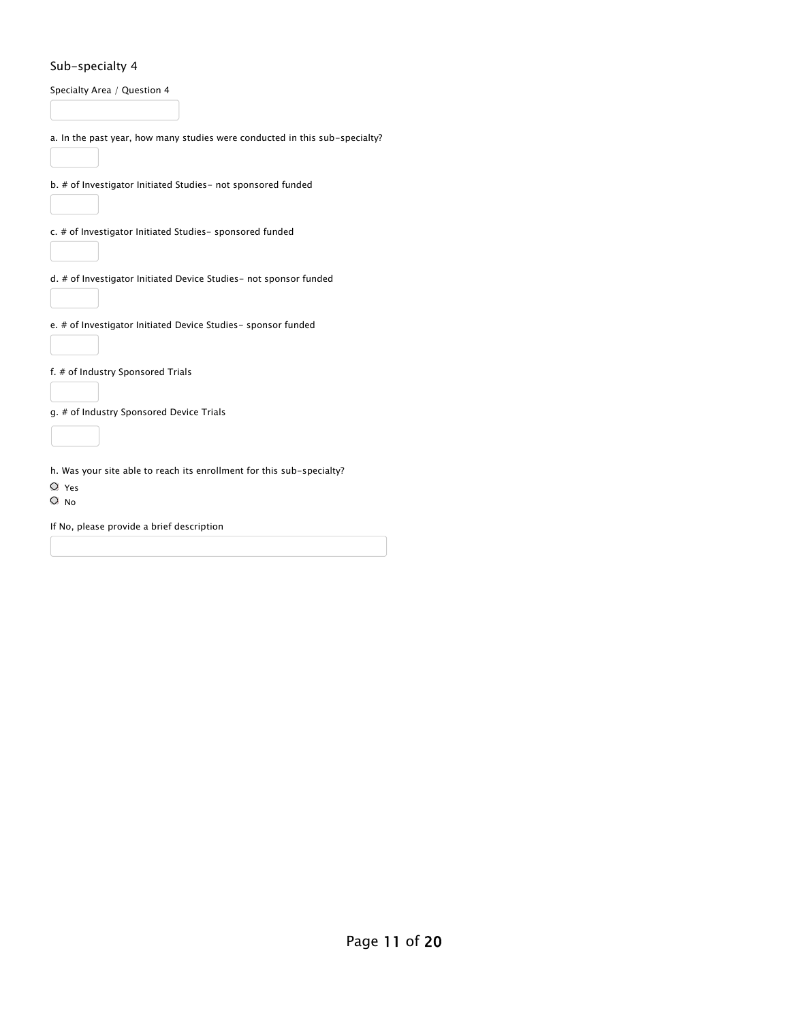#### Sub-specialty 4

| Specialty Area / Question 4                                                                        |
|----------------------------------------------------------------------------------------------------|
| a. In the past year, how many studies were conducted in this sub-specialty?                        |
| b. # of Investigator Initiated Studies- not sponsored funded                                       |
| c. # of Investigator Initiated Studies- sponsored funded                                           |
| d. # of Investigator Initiated Device Studies- not sponsor funded                                  |
| e. # of Investigator Initiated Device Studies- sponsor funded                                      |
| f. # of Industry Sponsored Trials                                                                  |
| g. # of Industry Sponsored Device Trials                                                           |
| h. Was your site able to reach its enrollment for this sub-specialty?<br>$\circ$ Yes<br>$\circ$ No |

If No, please provide a brief description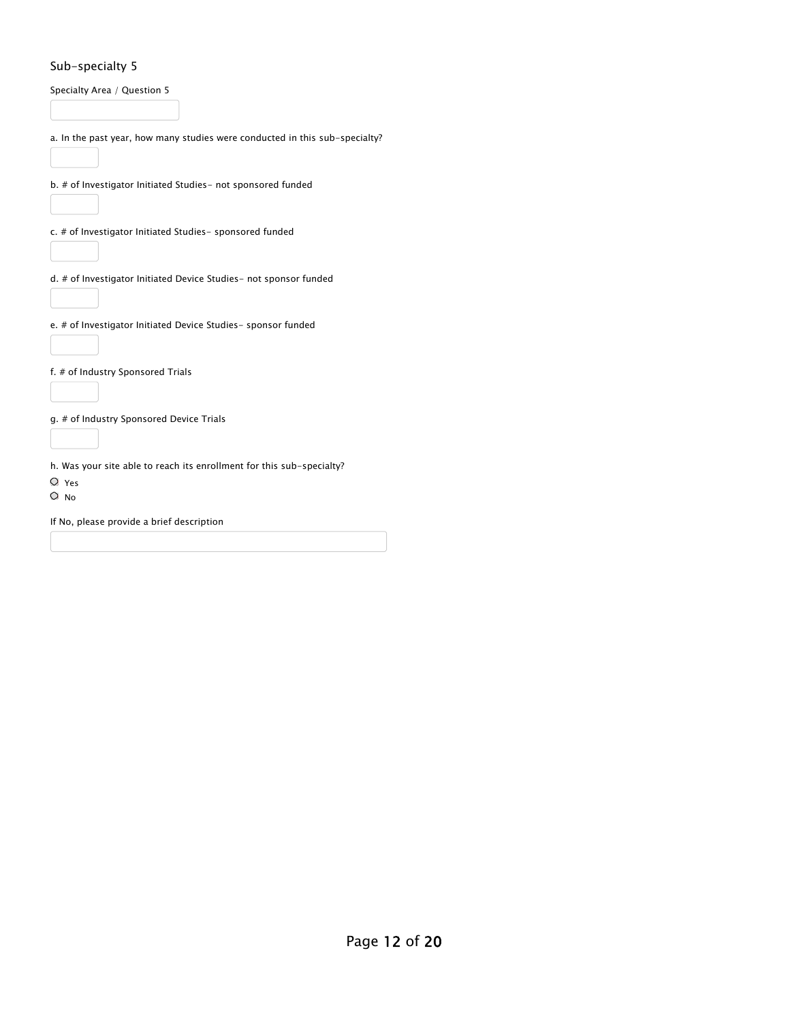#### Sub-specialty 5

| Specialty Area / Question 5                                                          |  |
|--------------------------------------------------------------------------------------|--|
| a. In the past year, how many studies were conducted in this sub-specialty?          |  |
| b. # of Investigator Initiated Studies- not sponsored funded                         |  |
| c. # of Investigator Initiated Studies- sponsored funded                             |  |
| d. # of Investigator Initiated Device Studies- not sponsor funded                    |  |
| e. # of Investigator Initiated Device Studies- sponsor funded                        |  |
| f. # of Industry Sponsored Trials                                                    |  |
| g. # of Industry Sponsored Device Trials                                             |  |
| h. Was your site able to reach its enrollment for this sub-specialty?<br>$\circ$ Yes |  |
| $\circ$ No                                                                           |  |
| If No, please provide a brief description                                            |  |
|                                                                                      |  |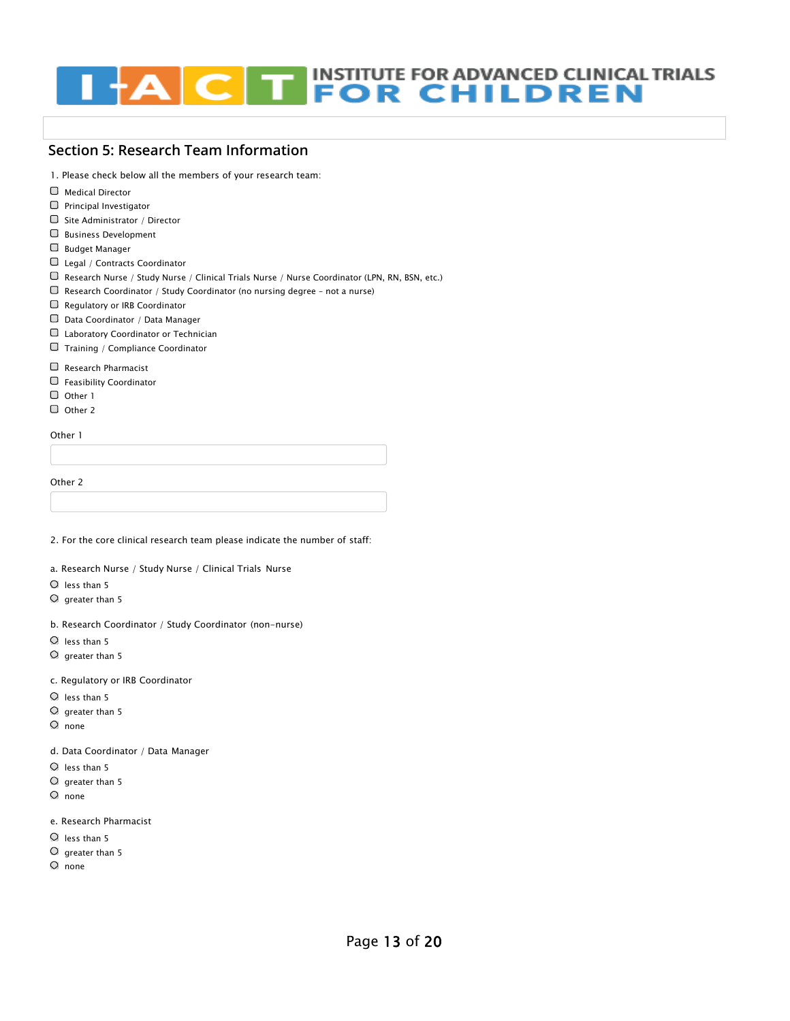#### **INSTITUTE FOR ADVANCED CLINICAL TRIALS THE INSTITUTE FOR ADVANCED CLINICAL**<br>**FOR CHILDREN**  $\sqrt{2}$

#### **Section 5: Research Team Information**

1. Please check below all the members of your research team:

- Medical Director
- $\Box$  Principal Investigator
- $\Box$  Site Administrator / Director
- Business Development
- Budget Manager
- Legal / Contracts Coordinator
- Research Nurse / Study Nurse / Clinical Trials Nurse / Nurse Coordinator (LPN, RN, BSN, etc.)
- $\Box$  Research Coordinator / Study Coordinator (no nursing degree not a nurse)
- Regulatory or IRB Coordinator
- Data Coordinator / Data Manager
- Laboratory Coordinator or Technician
- Training / Compliance Coordinator
- Research Pharmacist
- [Feasibility Coordinator](https://www.iactc.org/)
- $\Box$  [Other 1](https://www.iactc.org/)
- O Other 2

Other 1

Other 2

2. For the core clinical research team please indicate the number of staff:

a. Research Nurse / Study Nurse / Clinical Trials Nurse

- $O$  less than 5
- $\circ$  greater than 5
- b. Research Coordinator / Study Coordinator (non-nurse)
- $O$  less than 5
- $\circ$  greater than 5

c. Regulatory or IRB Coordinator

- $O$  less than 5
- $\circ$  greater than 5
- $O$  none

d. Data Coordinator / Data Manager

- $O$  less than 5
- $O$  greater than 5
- none
- e. Research Pharmacist
- $O$  less than 5
- $O$  greater than 5
- $O$  none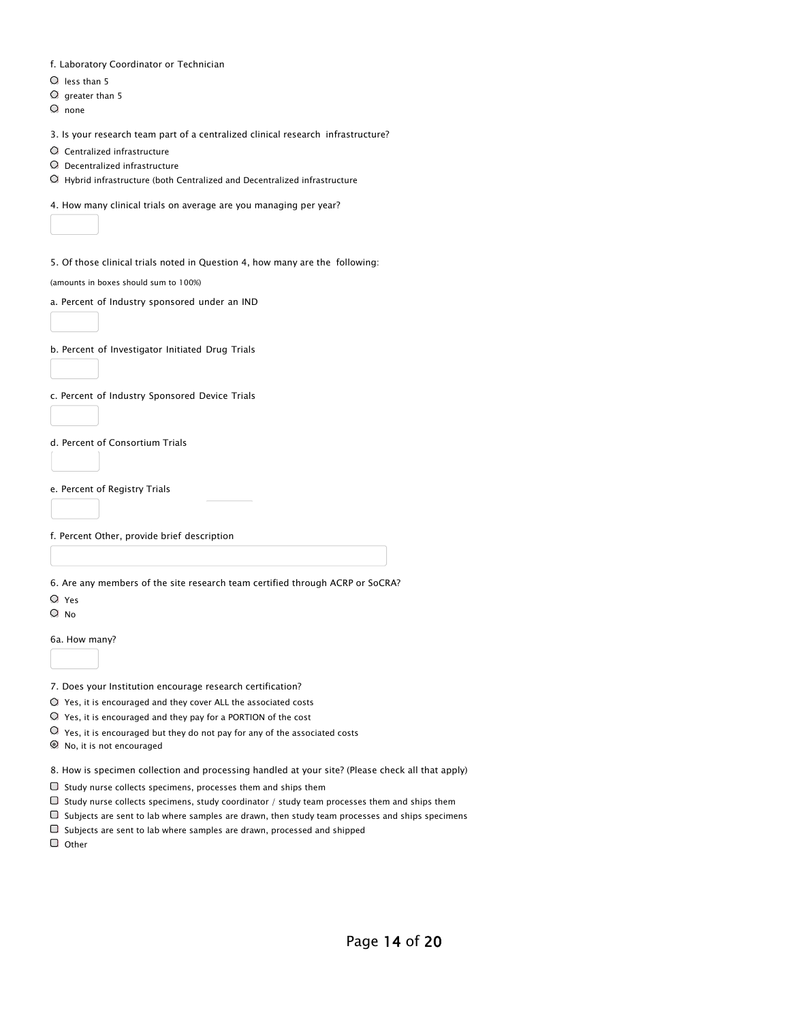|  |  | f. Laboratory Coordinator or Technician |  |  |
|--|--|-----------------------------------------|--|--|
|--|--|-----------------------------------------|--|--|

- $O$  less than 5
- $O$  greater than 5
- $O$  none
- 3. Is your research team part of a centralized clinical research infrastructure?
- Centralized infrastructure
- Decentralized infrastructure
- $\bigcirc$  Hybrid infrastructure (both Centralized and Decentralized infrastructure
- 4. How many clinical trials on average are you managing per year?
- 5. Of those clinical trials noted in Question 4, how many are the following:

(amounts in boxes should sum to 100%)

a. Percent of Industry sponsored under an IND

b. Percent of Investigator Initiated Drug Trials

c. Percent of Industry Sponsored Device Trials

d. Percent of Consortium Trials

e. [Percent of Registry Trials](https://www.iactc.org/)

f. Percent Other, provide brief description

6. Are any members of the site research team certified through ACRP or SoCRA?

- Yes
- $O$  No

6a. How many?

7. Does your Institution encourage research certification?

- $O$  Yes, it is encouraged and they cover ALL the associated costs
- Yes, it is encouraged and they pay for a PORTION of the cost
- $\overline{O}$  Yes, it is encouraged but they do not pay for any of the associated costs
- No, it is not encouraged

8. How is specimen collection and processing handled at your site? (Please check all that apply)

- $\Box$  Study nurse collects specimens, processes them and ships them
- $\Box$  Study nurse collects specimens, study coordinator / study team processes them and ships them
- $\Box$  Subjects are sent to lab where samples are drawn, then study team processes and ships specimens
- $\Box$  Subjects are sent to lab where samples are drawn, processed and shipped

O Other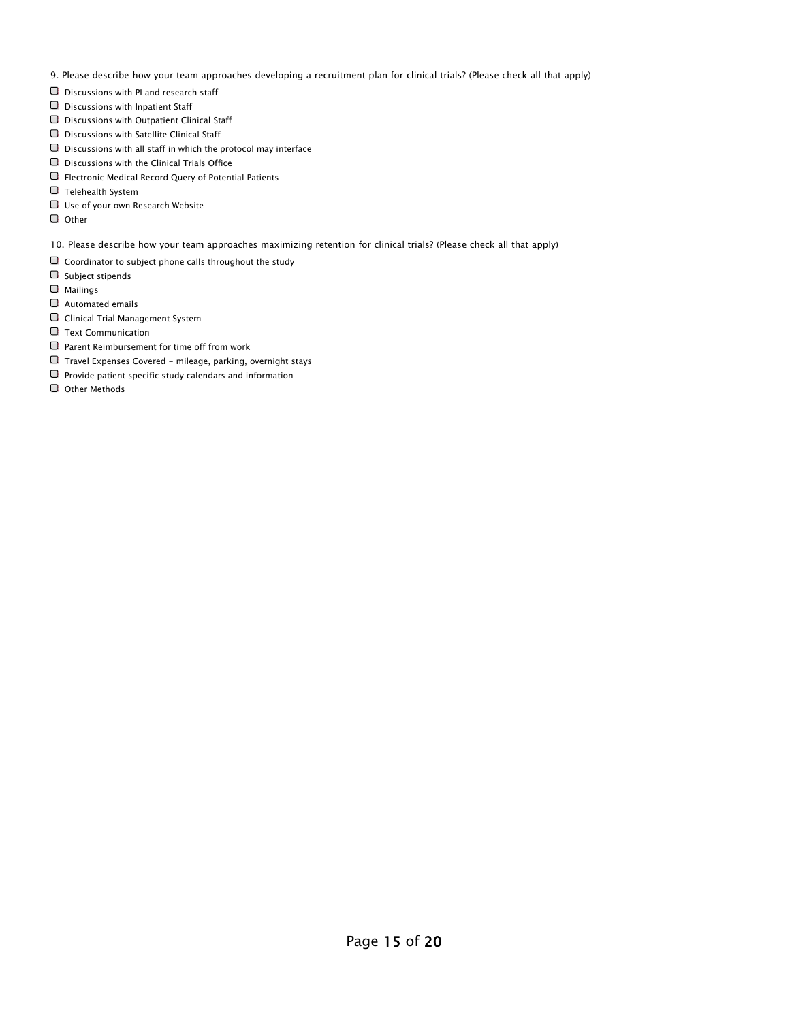- 9. Please describe how your team approaches developing a recruitment plan for clinical trials? (Please check all that apply)
- Discussions with PI and research staff
- $\Box$  Discussions with Inpatient Staff
- Discussions with Outpatient Clinical Staff
- $\Box$  Discussions with Satellite Clinical Staff
- $\Box$  Discussions with all staff in which the protocol may interface
- $\Box$  Discussions with the Clinical Trials Office
- Electronic Medical Record Query of Potential Patients
- $\Box$  Telehealth System
- Use of your own Research Website
- $\Box$  Other
- 10. Please describe how your team approaches maximizing retention for clinical trials? (Please check all that apply)
- $\Box$  Coordinator to subject phone calls throughout the study
- $\Box$  Subject stipends
- Mailings
- $\Box$  Automated emails
- Clinical Trial Management System
- $\Box$  Text Communication
- $\Box$  Parent Reimbursement for time off from work
- $\Box$  Travel Expenses Covered mileage, parking, overnight stays
- $\Box$  Provide patient specific study calendars and information
- Other Methods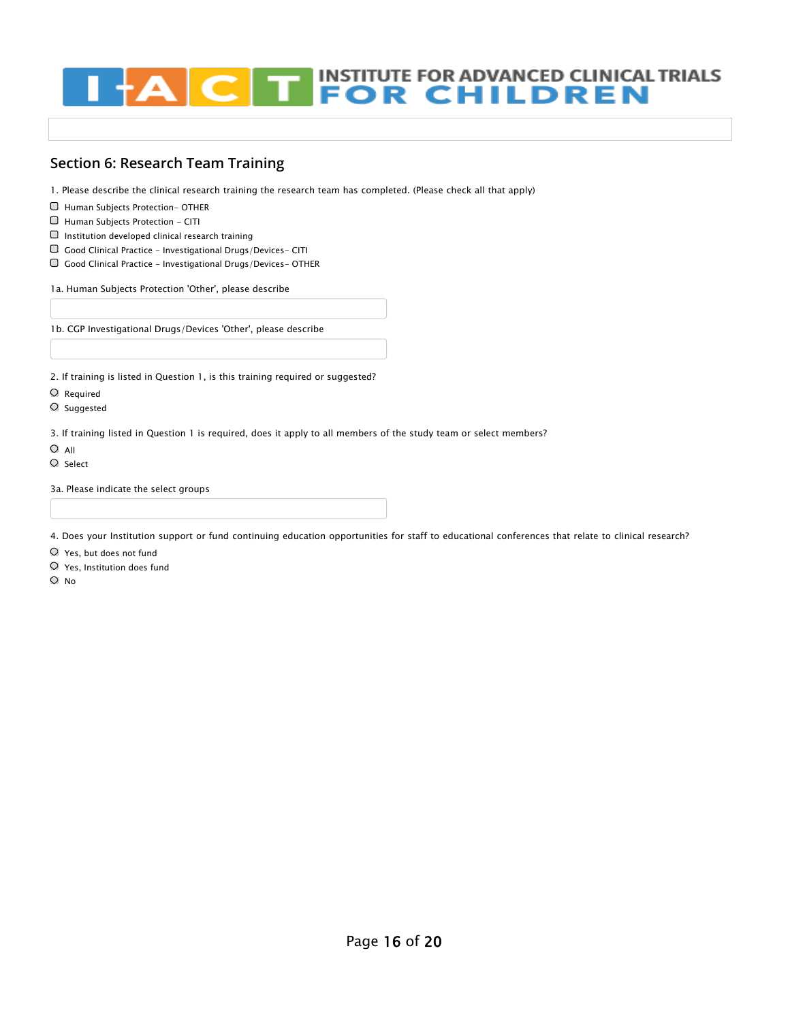#### **INSTITUTE FOR ADVANCED CLINICAL TRIALS<br>FOR CHILDREN** TT.  $\overline{\mathbf{C}}$

## **Section 6: Research Team Training**

1. Please describe the clinical research training the research team has completed. (Please check all that apply)

- Human Subjects Protection- OTHER
- Human Subjects Protection CITI
- $\Box$  Institution developed clinical research training
- $\Box~$  Good Clinical Practice Investigational Drugs/Devices- CITI
- $\Box$  Good Clinical Practice Investigational Drugs/Devices- OTHER

1a. Human Subjects Protection 'Other', please describe

1b. CGP Investigational Drugs/Devices 'Other', please describe

2. If training is listed in Question 1, is this training required or suggested?

- Required
- Suggested

3. If training listed in Question 1 is required, does it apply to all members of the study team or select members?

- $O$  All
- $O$  Select

3a. Please indicate the select groups

4. Does your Institution support or fund continuing education opportunities for staff to educational conferences that relate to clinical research?

Yes, but does not fund

Yes, Institution does fund

 $O$  No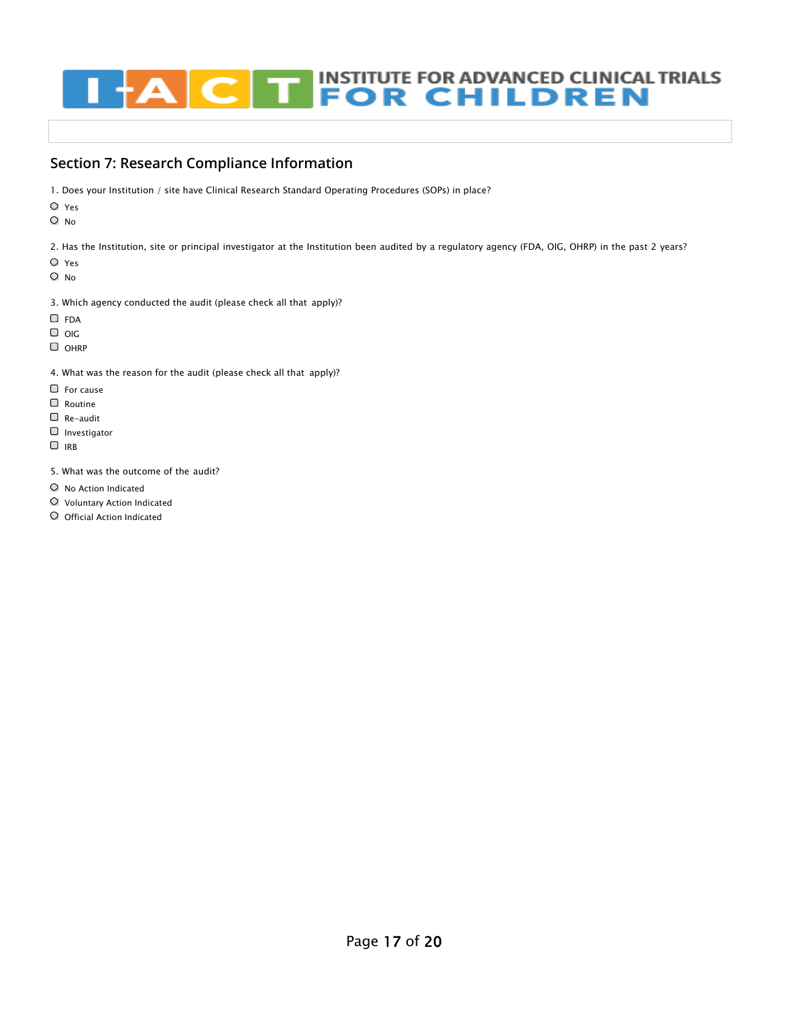# **INSTITUTE FOR ADVANCED CLINICAL TRIALS<br>FOR CHILDREN**

## **Section 7: Research Compliance Information**

- 1. Does your Institution / site have Clinical Research Standard Operating Procedures (SOPs) in place?
- Yes
- O No

2. Has the Institution, site or principal investigator at the Institution been audited by a regulatory agency (FDA, OIG, OHRP) in the past 2 years?

- Yes
- O No
- 3. Which agency conducted the audit (please check all that apply)?
- O FDA
- $\Box$  OIG
- O OHRP
- 4. What was the reason for the audit (please check all that apply)?
- $\Box$  For cause
- Routine
- Re-audit
- $\Box$  Investigator
- $\Box$  IRB
- 5. What was the outcome of the audit?
- $O$  No Action Indicated
- Voluntary Action Indicated
- O Official Action Indicated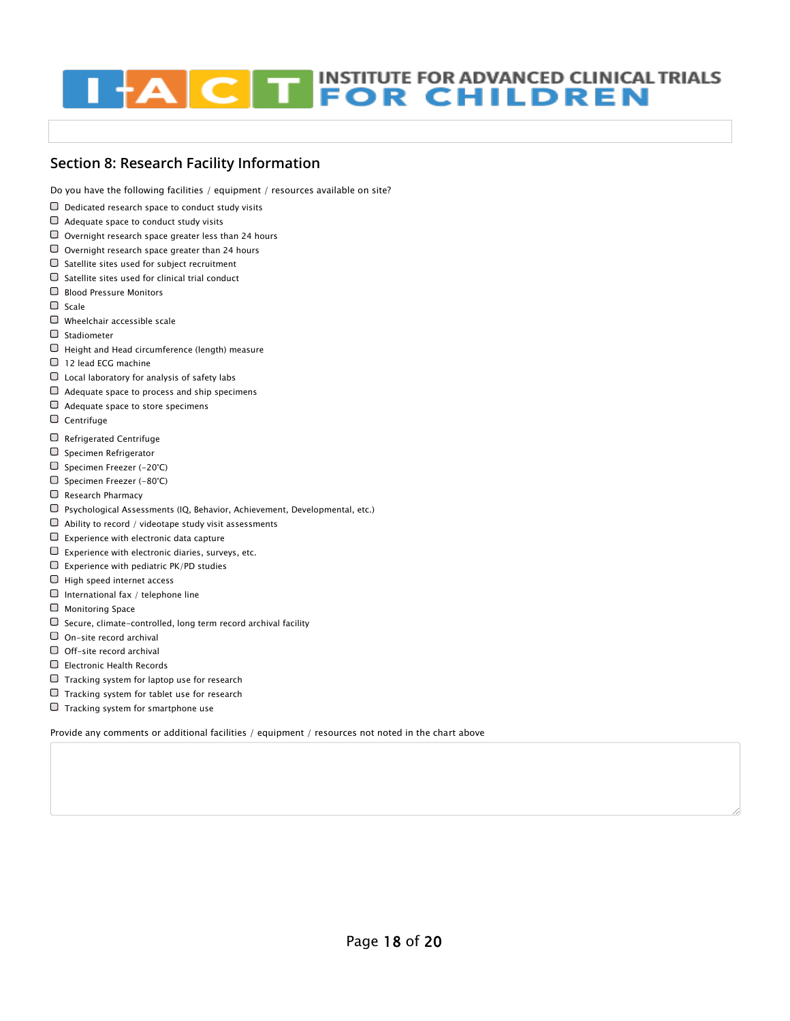# **INSTITUTE FOR ADVANCED CLINICAL TRIALS THEOR CHILDREN**

## **Section 8: Research Facility Information**

Do you have the following facilities / equipment / resources available on site?

- $\Box$  Dedicated research space to conduct study visits
- $\Box$  Adequate space to conduct study visits
- $\Box$  Overnight research space greater less than 24 hours
- $\Box$  Overnight research space greater than 24 hours
- $\Box$  Satellite sites used for subject recruitment
- $\Box$  Satellite sites used for clinical trial conduct
- Blood Pressure Monitors
- $\Box$  Scale
- Wheelchair accessible scale
- $\Box$  Stadiometer
- $\Box$  Height and Head circumference (length) measure
- 12 lead ECG machine
- $\Box$  Local laboratory for analysis of safety labs
- $\Box$  Adequate space to process and ship specimens
- $\Box$  Adequate space to store specimens
- Centrifuge
- Refrigerated Centrifuge
- $\Box$  Specimen Refrigerator
- $\Box$  [Specimen Freezer \(-20°C\)](https://www.iactc.org/)
- $\Box$  Specimen Freezer (-80°C)
- $\Box$  Research Pharmacy
- Psychological Assessments (IQ, Behavior, Achievement, Developmental, etc.)
- $\Box$  Ability to record / videotape study visit assessments
- $\Box$  Experience with electronic data capture
- $\Box$  Experience with electronic diaries, surveys, etc.
- $\square$  Experience with pediatric PK/PD studies
- $\Box$  High speed internet access
- $\Box$  International fax / telephone line
- $\Box$  Monitoring Space
- $\Box$  Secure, climate-controlled, long term record archival facility
- On-site record archival
- $\Box$  Off-site record archival
- Electronic Health Records
- $\Box$  Tracking system for laptop use for research
- $\Box$  Tracking system for tablet use for research
- $\Box$  Tracking system for smartphone use

Provide any comments or additional facilities / equipment / resources not noted in the chart above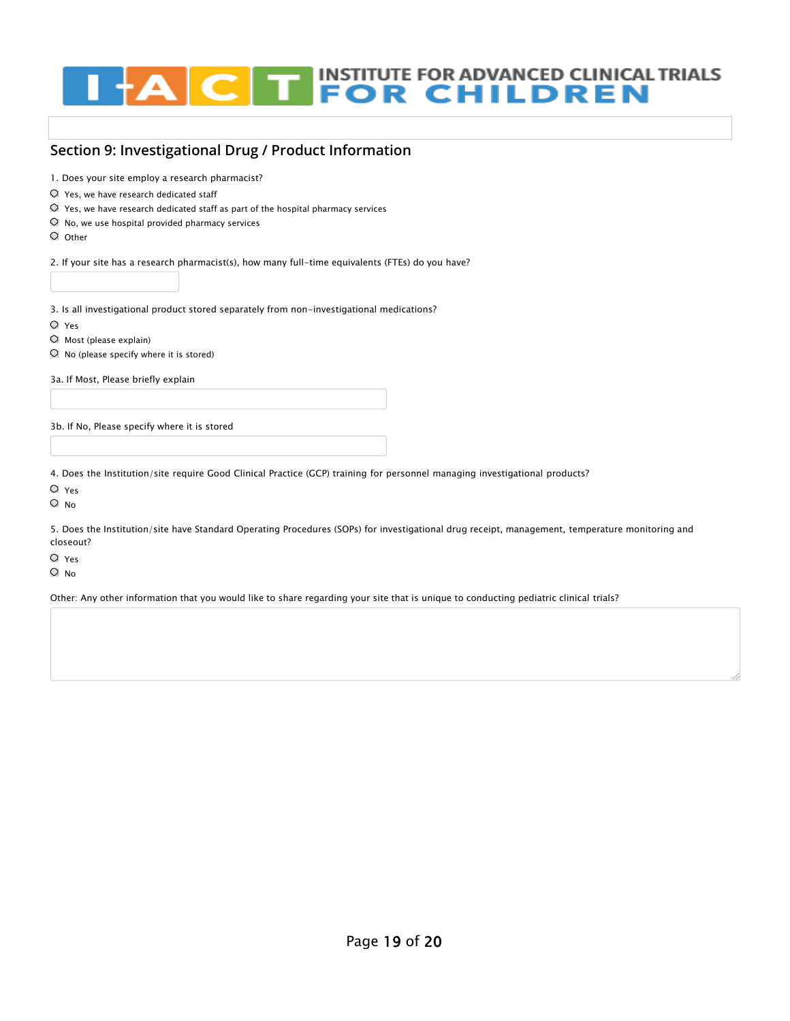# **EN INSTITUTE FOR ADVANCED CLINICAL TRIALS<br>FOR CHILDREN**  $\overline{\mathbf{C}}$

#### **Section 9: Investigational Drug / Product Information**

1. Does your site employ a research pharmacist?

- Yes, we have research dedicated staff
- $\heartsuit$  Yes, we have research dedicated staff as part of the hospital pharmacy services
- $\heartsuit$  No, we use hospital provided pharmacy services
- $O$  Other

2. If your site has a research pharmacist(s), how many full-time equivalents (FTEs) do you have?

3. Is all investigational product stored separately from non-investigational medications?

- Yes
- $\circ$  Most (please explain)
- $\bigcirc$  No (please specify where it is stored)

3a. If Most, Please briefly explain

3b. If No, Please specify where it is stored

4. Does the Institution/site require Good Clinical Practice (GCP) training for personnel managing investigational products?

- Yes
- O No

5. Does the Institution/site have Standard Operating Procedures (SOPs) for investigational drug receipt, management, temperature monitoring and closeout?

Yes

 $O$  No

Other: Any other information that you would like to share regarding your site that is unique to conducting pediatric clinical trials?